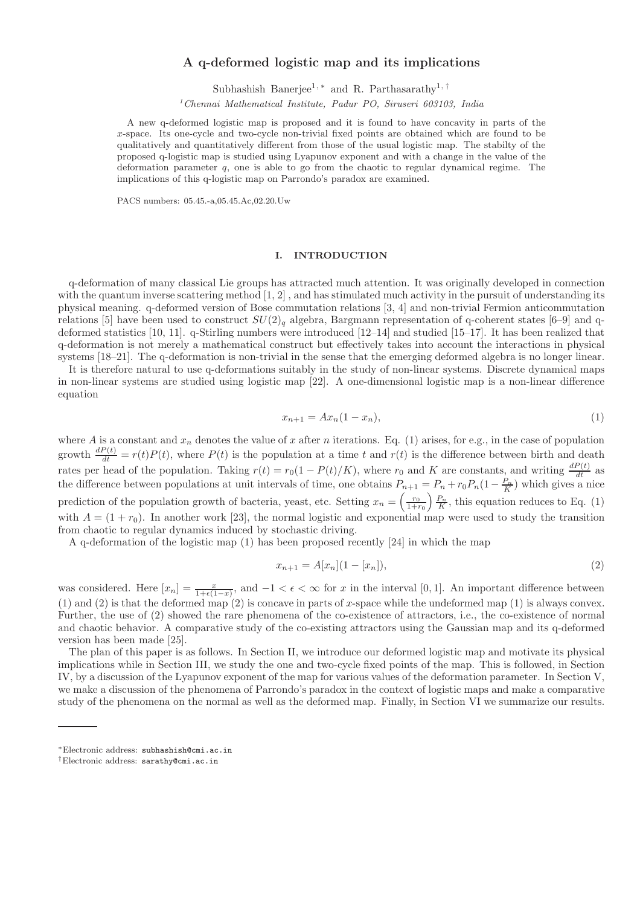# A q-deformed logistic map and its implications

Subhashish Banerjee<sup>1, \*</sup> and R. Parthasarathy<sup>1, †</sup>

<sup>1</sup>*Chennai Mathematical Institute, Padur PO, Siruseri 603103, India*

A new q-deformed logistic map is proposed and it is found to have concavity in parts of the x-space. Its one-cycle and two-cycle non-trivial fixed points are obtained which are found to be qualitatively and quantitatively different from those of the usual logistic map. The stabilty of the proposed q-logistic map is studied using Lyapunov exponent and with a change in the value of the deformation parameter q, one is able to go from the chaotic to regular dynamical regime. The implications of this q-logistic map on Parrondo's paradox are examined.

PACS numbers: 05.45.-a,05.45.Ac,02.20.Uw

#### I. INTRODUCTION

q-deformation of many classical Lie groups has attracted much attention. It was originally developed in connection with the quantum inverse scattering method  $[1, 2]$ , and has stimulated much activity in the pursuit of understanding its physical meaning. q-deformed version of Bose commutation relations [3, 4] and non-trivial Fermion anticommutation relations [5] have been used to construct  $SU(2)<sub>q</sub>$  algebra, Bargmann representation of q-coherent states [6–9] and qdeformed statistics [10, 11]. q-Stirling numbers were introduced [12–14] and studied [15–17]. It has been realized that q-deformation is not merely a mathematical construct but effectively takes into account the interactions in physical systems [18–21]. The q-deformation is non-trivial in the sense that the emerging deformed algebra is no longer linear.

It is therefore natural to use q-deformations suitably in the study of non-linear systems. Discrete dynamical maps in non-linear systems are studied using logistic map [22]. A one-dimensional logistic map is a non-linear difference equation

$$
x_{n+1} = Ax_n(1 - x_n),
$$
\n(1)

where A is a constant and  $x_n$  denotes the value of x after n iterations. Eq. (1) arises, for e.g., in the case of population growth  $\frac{dP(t)}{dt} = r(t)P(t)$ , where  $P(t)$  is the population at a time t and  $r(t)$  is the difference between birth and death rates per head of the population. Taking  $r(t) = r_0(1 - P(t)/K)$ , where  $r_0$  and K are constants, and writing  $\frac{dP(t)}{dt}$  as the difference between populations at unit intervals of time, one obtains  $P_{n+1} = P_n + r_0 P_n(1 - \frac{P_n}{K})$  which gives a nice prediction of the population growth of bacteria, yeast, etc. Setting  $x_n = \left(\frac{r_0}{1+r_0}\right) \frac{P_n}{K}$ , this equation reduces to Eq. (1) with  $A = (1 + r_0)$ . In another work [23], the normal logistic and exponential map were used to study the transition from chaotic to regular dynamics induced by stochastic driving.

A q-deformation of the logistic map (1) has been proposed recently [24] in which the map

$$
x_{n+1} = A[x_n](1 - [x_n]),\tag{2}
$$

was considered. Here  $[x_n] = \frac{x}{1+\epsilon(1-x)}$ , and  $-1 < \epsilon < \infty$  for x in the interval [0, 1]. An important difference between (1) and (2) is that the deformed map (2) is concave in parts of x-space while the undeformed map (1) is always convex. Further, the use of (2) showed the rare phenomena of the co-existence of attractors, i.e., the co-existence of normal and chaotic behavior. A comparative study of the co-existing attractors using the Gaussian map and its q-deformed version has been made [25].

The plan of this paper is as follows. In Section II, we introduce our deformed logistic map and motivate its physical implications while in Section III, we study the one and two-cycle fixed points of the map. This is followed, in Section IV, by a discussion of the Lyapunov exponent of the map for various values of the deformation parameter. In Section V, we make a discussion of the phenomena of Parrondo's paradox in the context of logistic maps and make a comparative study of the phenomena on the normal as well as the deformed map. Finally, in Section VI we summarize our results.

<sup>∗</sup>Electronic address: subhashish@cmi.ac.in

<sup>†</sup>Electronic address: sarathy@cmi.ac.in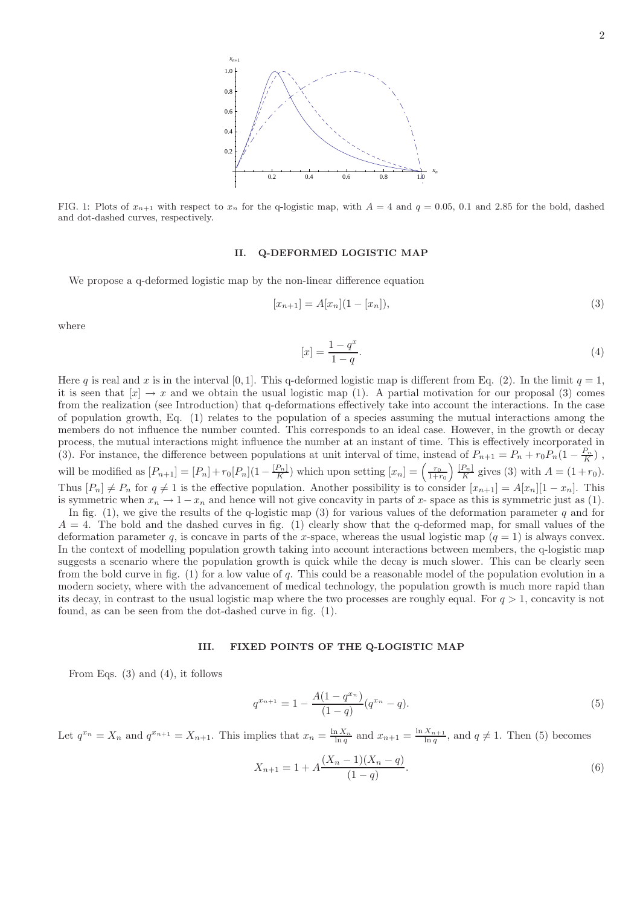

FIG. 1: Plots of  $x_{n+1}$  with respect to  $x_n$  for the q-logistic map, with  $A = 4$  and  $q = 0.05$ , 0.1 and 2.85 for the bold, dashed and dot-dashed curves, respectively.

## II. Q-DEFORMED LOGISTIC MAP

We propose a q-deformed logistic map by the non-linear difference equation

$$
[x_{n+1}] = A[x_n](1 - [x_n]),
$$
\n(3)

where

$$
[x] = \frac{1 - q^x}{1 - q}.
$$
\n(4)

Here q is real and x is in the interval [0, 1]. This q-deformed logistic map is different from Eq. (2). In the limit  $q = 1$ , it is seen that  $[x] \rightarrow x$  and we obtain the usual logistic map (1). A partial motivation for our proposal (3) comes from the realization (see Introduction) that q-deformations effectively take into account the interactions. In the case of population growth, Eq. (1) relates to the population of a species assuming the mutual interactions among the members do not influence the number counted. This corresponds to an ideal case. However, in the growth or decay process, the mutual interactions might influence the number at an instant of time. This is effectively incorporated in (3). For instance, the difference between populations at unit interval of time, instead of  $P_{n+1} = P_n + r_0 P_n(1 - \frac{P_n}{K})$ , will be modified as  $[P_{n+1}] = [P_n] + r_0[P_n](1 - \frac{[P_n]}{K})$  which upon setting  $[x_n] = \left(\frac{r_0}{1+r_0}\right) \frac{[P_n]}{K}$  gives (3) with  $A = (1+r_0)$ . Thus  $[P_n] \neq P_n$  for  $q \neq 1$  is the effective population. Another possibility is to consider  $[x_{n+1}] = A[x_n][1 - x_n]$ . This is symmetric when  $x_n \to 1-x_n$  and hence will not give concavity in parts of x- space as this is symmetric just as (1). In fig. (1), we give the results of the q-logistic map (3) for various values of the deformation parameter q and for

 $A = 4$ . The bold and the dashed curves in fig. (1) clearly show that the q-deformed map, for small values of the deformation parameter q, is concave in parts of the x-space, whereas the usual logistic map  $(q = 1)$  is always convex. In the context of modelling population growth taking into account interactions between members, the q-logistic map suggests a scenario where the population growth is quick while the decay is much slower. This can be clearly seen from the bold curve in fig.  $(1)$  for a low value of q. This could be a reasonable model of the population evolution in a modern society, where with the advancement of medical technology, the population growth is much more rapid than its decay, in contrast to the usual logistic map where the two processes are roughly equal. For  $q > 1$ , concavity is not found, as can be seen from the dot-dashed curve in fig. (1).

#### III. FIXED POINTS OF THE Q-LOGISTIC MAP

From Eqs.  $(3)$  and  $(4)$ , it follows

$$
q^{x_{n+1}} = 1 - \frac{A(1 - q^{x_n})}{(1 - q)}(q^{x_n} - q).
$$
\n(5)

Let  $q^{x_n} = X_n$  and  $q^{x_{n+1}} = X_{n+1}$ . This implies that  $x_n = \frac{\ln X_n}{\ln q}$  and  $x_{n+1} = \frac{\ln X_{n+1}}{\ln q}$  $\frac{\Delta_{n+1}}{\ln q}$ , and  $q \neq 1$ . Then (5) becomes

$$
X_{n+1} = 1 + A \frac{(X_n - 1)(X_n - q)}{(1 - q)}.
$$
\n
$$
(6)
$$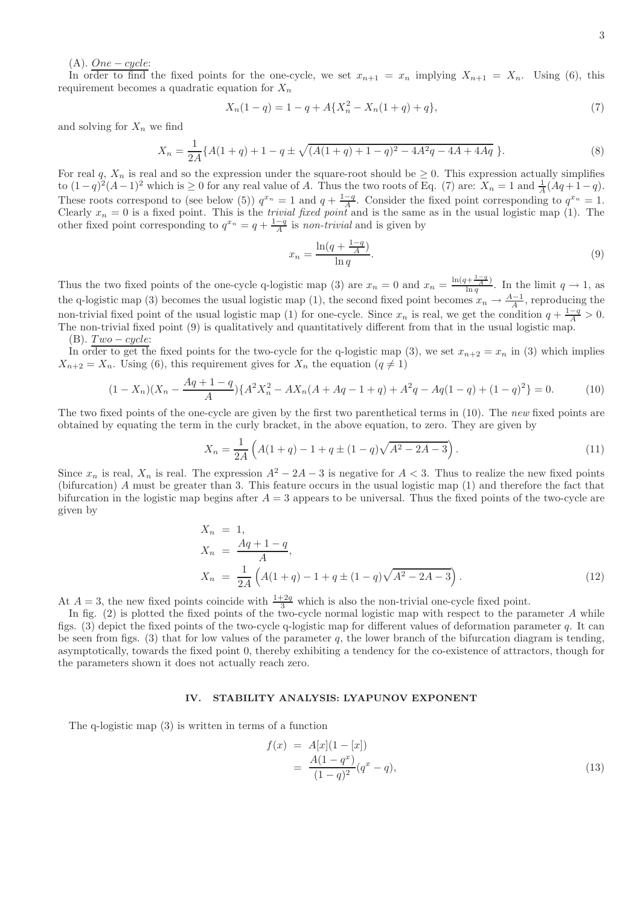(A).  $One-cycle:$ 

In order to find the fixed points for the one-cycle, we set  $x_{n+1} = x_n$  implying  $X_{n+1} = X_n$ . Using (6), this requirement becomes a quadratic equation for  $X_n$ 

$$
X_n(1-q) = 1 - q + A\{X_n^2 - X_n(1+q) + q\},\tag{7}
$$

and solving for  $X_n$  we find

$$
X_n = \frac{1}{2A} \{ A(1+q) + 1 - q \pm \sqrt{(A(1+q) + 1 - q)^2 - 4A^2 q - 4A + 4Aq} \ \}.
$$
 (8)

For real q,  $X_n$  is real and so the expression under the square-root should be  $\geq 0$ . This expression actually simplifies to  $(1-q)^2(A-1)^2$  which is  $\geq 0$  for any real value of A. Thus the two roots of Eq. (7) are:  $X_n = 1$  and  $\frac{1}{A}(Aq + 1 - q)$ . These roots correspond to (see below (5))  $q^{x_n} = 1$  and  $q + \frac{1-q}{4}$ . Consider the fixed point corresponding to  $q^{x_n} = 1$ . Clearly  $x_n = 0$  is a fixed point. This is the *trivial fixed point* and is the same as in the usual logistic map (1). The other fixed point corresponding to  $q^{x_n} = q + \frac{1-q}{A}$  is non-trivial and is given by

$$
x_n = \frac{\ln(q + \frac{1-q}{A})}{\ln q}.\tag{9}
$$

Thus the two fixed points of the one-cycle q-logistic map (3) are  $x_n = 0$  and  $x_n = \frac{\ln(q + \frac{1-q}{\lambda})}{\ln q}$ . In the limit  $q \to 1$ , as the q-logistic map (3) becomes the usual logistic map (1), the second fixed point becomes  $x_n \to \frac{A-1}{A}$ , reproducing the non-trivial fixed point of the usual logistic map (1) for one-cycle. Since  $x_n$  is real, we get the condition  $q + \frac{1-q}{A} > 0$ . The non-trivial fixed point (9) is qualitatively and quantitatively different from that in the usual logistic map. (B).  $Two-cycle:$ 

In order to get the fixed points for the two-cycle for the q-logistic map (3), we set  $x_{n+2} = x_n$  in (3) which implies  $X_{n+2} = X_n$ . Using (6), this requirement gives for  $X_n$  the equation  $(q \neq 1)$ 

$$
(1 - X_n)(X_n - \frac{Aq + 1 - q}{A})\{A^2 X_n^2 - AX_n(A + Aq - 1 + q) + A^2 q - Aq(1 - q) + (1 - q)^2\} = 0.
$$
 (10)

The two fixed points of the one-cycle are given by the first two parenthetical terms in (10). The *new* fixed points are obtained by equating the term in the curly bracket, in the above equation, to zero. They are given by

$$
X_n = \frac{1}{2A} \left( A(1+q) - 1 + q \pm (1-q)\sqrt{A^2 - 2A - 3} \right).
$$
 (11)

Since  $x_n$  is real,  $X_n$  is real. The expression  $A^2 - 2A - 3$  is negative for  $A < 3$ . Thus to realize the new fixed points (bifurcation) A must be greater than 3. This feature occurs in the usual logistic map (1) and therefore the fact that bifurcation in the logistic map begins after  $A = 3$  appears to be universal. Thus the fixed points of the two-cycle are given by

$$
X_n = 1,
$$
  
\n
$$
X_n = \frac{Aq + 1 - q}{A},
$$
  
\n
$$
X_n = \frac{1}{2A} \left( A(1+q) - 1 + q \pm (1-q) \sqrt{A^2 - 2A - 3} \right).
$$
\n(12)

At  $A = 3$ , the new fixed points coincide with  $\frac{1+2q}{3}$  which is also the non-trivial one-cycle fixed point.

In fig. (2) is plotted the fixed points of the two-cycle normal logistic map with respect to the parameter A while figs. (3) depict the fixed points of the two-cycle q-logistic map for different values of deformation parameter  $q$ . It can be seen from figs. (3) that for low values of the parameter q, the lower branch of the bifurcation diagram is tending, asymptotically, towards the fixed point 0, thereby exhibiting a tendency for the co-existence of attractors, though for the parameters shown it does not actually reach zero.

#### IV. STABILITY ANALYSIS: LYAPUNOV EXPONENT

The q-logistic map (3) is written in terms of a function

$$
f(x) = A[x](1 - [x])
$$
  
= 
$$
\frac{A(1 - q^x)}{(1 - q)^2} (q^x - q),
$$
 (13)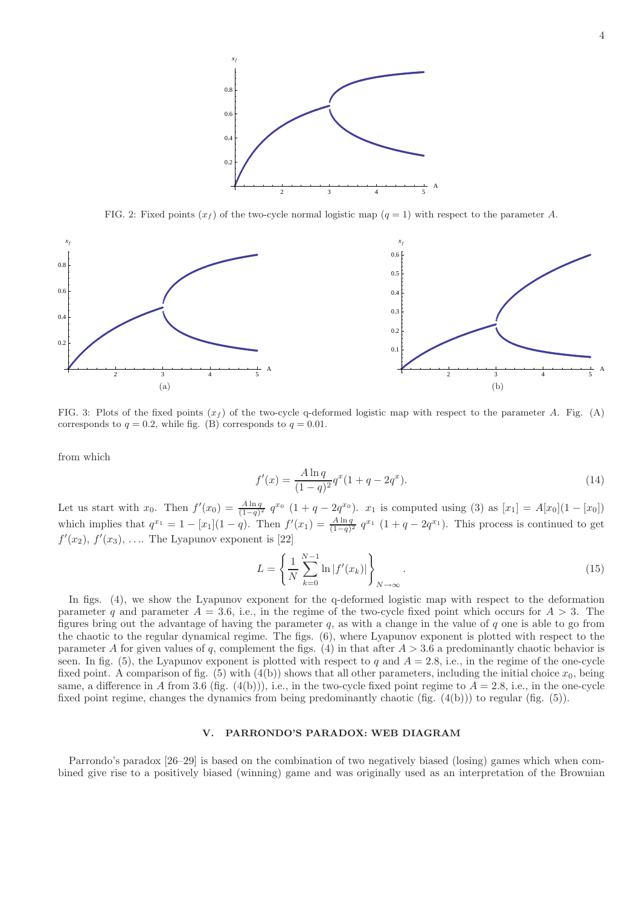

FIG. 2: Fixed points  $(x_f)$  of the two-cycle normal logistic map  $(q = 1)$  with respect to the parameter A.



FIG. 3: Plots of the fixed points  $(x_f)$  of the two-cycle q-deformed logistic map with respect to the parameter A. Fig. (A) corresponds to  $q = 0.2$ , while fig. (B) corresponds to  $q = 0.01$ .

from which

$$
f'(x) = \frac{A \ln q}{(1-q)^2} q^x (1+q-2q^x).
$$
\n(14)

Let us start with  $x_0$ . Then  $f'(x_0) = \frac{A \ln q}{(1-q)^2} q^{x_0} (1+q-2q^{x_0})$ .  $x_1$  is computed using (3) as  $[x_1] = A[x_0](1-[x_0])$ which implies that  $q^{x_1} = 1 - [x_1](1 - q)$ . Then  $f'(x_1) = \frac{A \ln q}{(1 - q)^2} q^{x_1} (1 + q - 2q^{x_1})$ . This process is continued to get  $f'(x_2)$ ,  $f'(x_3)$ , .... The Lyapunov exponent is [22]

$$
L = \left\{ \frac{1}{N} \sum_{k=0}^{N-1} \ln |f'(x_k)| \right\}_{N \to \infty}.
$$
 (15)

In figs. (4), we show the Lyapunov exponent for the q-deformed logistic map with respect to the deformation parameter q and parameter  $A = 3.6$ , i.e., in the regime of the two-cycle fixed point which occurs for  $A > 3$ . The figures bring out the advantage of having the parameter q, as with a change in the value of q one is able to go from the chaotic to the regular dynamical regime. The figs. (6), where Lyapunov exponent is plotted with respect to the parameter A for given values of q, complement the figs. (4) in that after  $A > 3.6$  a predominantly chaotic behavior is seen. In fig. (5), the Lyapunov exponent is plotted with respect to q and  $A = 2.8$ , i.e., in the regime of the one-cycle fixed point. A comparison of fig. (5) with (4(b)) shows that all other parameters, including the initial choice  $x_0$ , being same, a difference in A from 3.6 (fig.  $(4(b))$ ), i.e., in the two-cycle fixed point regime to  $A = 2.8$ , i.e., in the one-cycle fixed point regime, changes the dynamics from being predominantly chaotic (fig. (4(b))) to regular (fig. (5)).

#### V. PARRONDO'S PARADOX: WEB DIAGRAM

Parrondo's paradox [26–29] is based on the combination of two negatively biased (losing) games which when combined give rise to a positively biased (winning) game and was originally used as an interpretation of the Brownian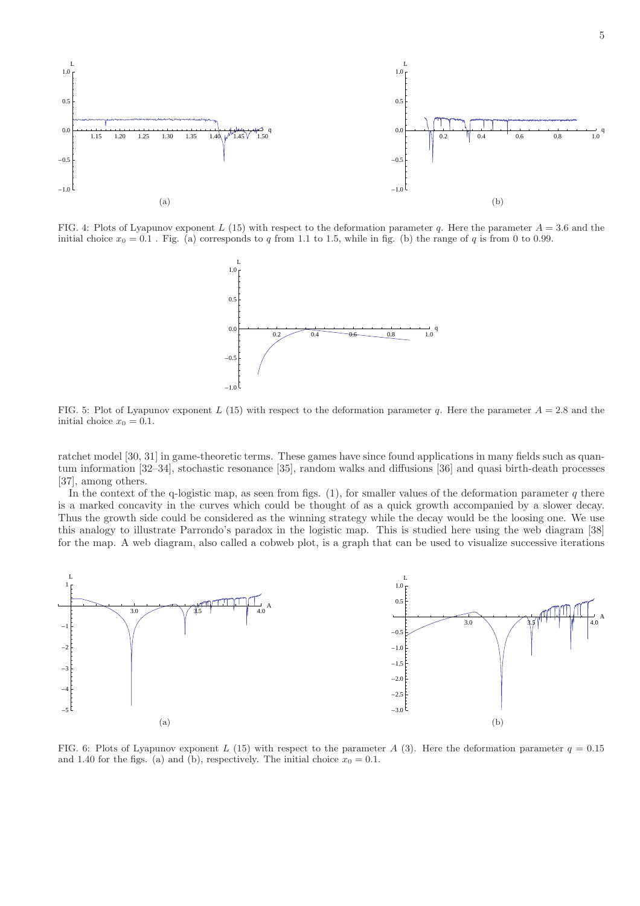

FIG. 4: Plots of Lyapunov exponent L (15) with respect to the deformation parameter q. Here the parameter  $A = 3.6$  and the initial choice  $x_0 = 0.1$ . Fig. (a) corresponds to q from 1.1 to 1.5, while in fig. (b) the range of q is from 0 to 0.99.



FIG. 5: Plot of Lyapunov exponent L (15) with respect to the deformation parameter q. Here the parameter  $A = 2.8$  and the initial choice  $x_0 = 0.1$ .

ratchet model [30, 31] in game-theoretic terms. These games have since found applications in many fields such as quantum information [32–34], stochastic resonance [35], random walks and diffusions [36] and quasi birth-death processes [37], among others.

In the context of the q-logistic map, as seen from figs.  $(1)$ , for smaller values of the deformation parameter q there is a marked concavity in the curves which could be thought of as a quick growth accompanied by a slower decay. Thus the growth side could be considered as the winning strategy while the decay would be the loosing one. We use this analogy to illustrate Parrondo's paradox in the logistic map. This is studied here using the web diagram [38] for the map. A web diagram, also called a cobweb plot, is a graph that can be used to visualize successive iterations



FIG. 6: Plots of Lyapunov exponent L (15) with respect to the parameter A (3). Here the deformation parameter  $q = 0.15$ and 1.40 for the figs. (a) and (b), respectively. The initial choice  $x_0 = 0.1$ .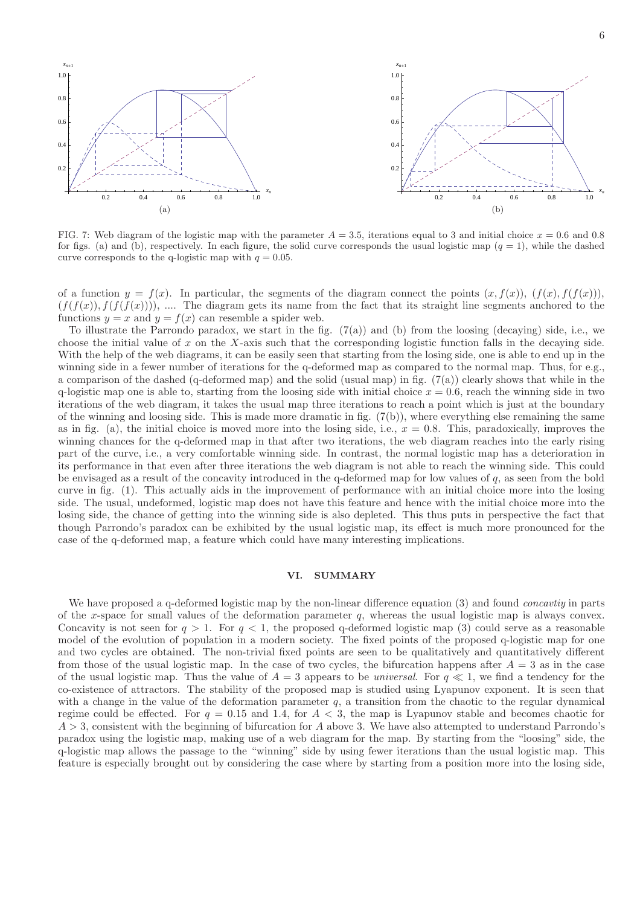

FIG. 7: Web diagram of the logistic map with the parameter  $A = 3.5$ , iterations equal to 3 and initial choice  $x = 0.6$  and 0.8 for figs. (a) and (b), respectively. In each figure, the solid curve corresponds the usual logistic map  $(q = 1)$ , while the dashed curve corresponds to the q-logistic map with  $q = 0.05$ .

of a function  $y = f(x)$ . In particular, the segments of the diagram connect the points  $(x, f(x))$ ,  $(f(x), f(f(x)))$ ,  $(f(f(x)), f(f(f(x))))$ , .... The diagram gets its name from the fact that its straight line segments anchored to the functions  $y = x$  and  $y = f(x)$  can resemble a spider web.

To illustrate the Parrondo paradox, we start in the fig.  $(7(a))$  and (b) from the loosing (decaying) side, i.e., we choose the initial value of x on the X-axis such that the corresponding logistic function falls in the decaying side. With the help of the web diagrams, it can be easily seen that starting from the losing side, one is able to end up in the winning side in a fewer number of iterations for the q-deformed map as compared to the normal map. Thus, for e.g., a comparison of the dashed (q-deformed map) and the solid (usual map) in fig. (7(a)) clearly shows that while in the q-logistic map one is able to, starting from the loosing side with initial choice  $x = 0.6$ , reach the winning side in two iterations of the web diagram, it takes the usual map three iterations to reach a point which is just at the boundary of the winning and loosing side. This is made more dramatic in fig.  $(7(b))$ , where everything else remaining the same as in fig. (a), the initial choice is moved more into the losing side, i.e.,  $x = 0.8$ . This, paradoxically, improves the winning chances for the q-deformed map in that after two iterations, the web diagram reaches into the early rising part of the curve, i.e., a very comfortable winning side. In contrast, the normal logistic map has a deterioration in its performance in that even after three iterations the web diagram is not able to reach the winning side. This could be envisaged as a result of the concavity introduced in the q-deformed map for low values of  $q$ , as seen from the bold curve in fig. (1). This actually aids in the improvement of performance with an initial choice more into the losing side. The usual, undeformed, logistic map does not have this feature and hence with the initial choice more into the losing side, the chance of getting into the winning side is also depleted. This thus puts in perspective the fact that though Parrondo's paradox can be exhibited by the usual logistic map, its effect is much more pronounced for the case of the q-deformed map, a feature which could have many interesting implications.

#### VI. SUMMARY

We have proposed a q-deformed logistic map by the non-linear difference equation (3) and found *concavtiy* in parts of the x-space for small values of the deformation parameter q, whereas the usual logistic map is always convex. Concavity is not seen for  $q > 1$ . For  $q < 1$ , the proposed q-deformed logistic map (3) could serve as a reasonable model of the evolution of population in a modern society. The fixed points of the proposed q-logistic map for one and two cycles are obtained. The non-trivial fixed points are seen to be qualitatively and quantitatively different from those of the usual logistic map. In the case of two cycles, the bifurcation happens after  $A = 3$  as in the case of the usual logistic map. Thus the value of  $A = 3$  appears to be *universal*. For  $q \ll 1$ , we find a tendency for the co-existence of attractors. The stability of the proposed map is studied using Lyapunov exponent. It is seen that with a change in the value of the deformation parameter  $q$ , a transition from the chaotic to the regular dynamical regime could be effected. For  $q = 0.15$  and 1.4, for  $A < 3$ , the map is Lyapunov stable and becomes chaotic for  $A > 3$ , consistent with the beginning of bifurcation for A above 3. We have also attempted to understand Parrondo's paradox using the logistic map, making use of a web diagram for the map. By starting from the "loosing" side, the q-logistic map allows the passage to the "winning" side by using fewer iterations than the usual logistic map. This feature is especially brought out by considering the case where by starting from a position more into the losing side,